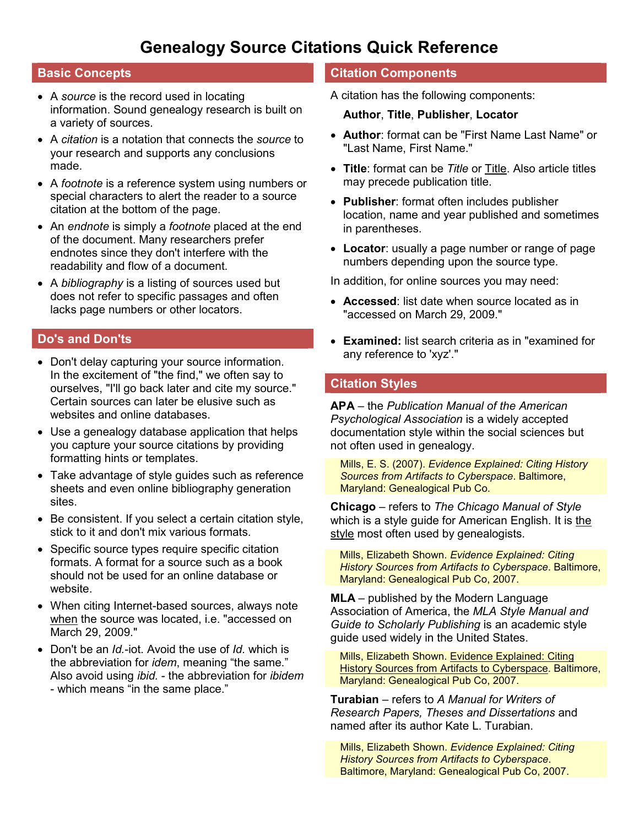# **Genealogy Source Citations Quick Reference**

# **Basic Concepts**

- A *source* is the record used in locating information. Sound genealogy research is built on a variety of sources.
- A *citation* is a notation that connects the *source* to your research and supports any conclusions made.
- A *footnote* is a reference system using numbers or special characters to alert the reader to a source citation at the bottom of the page.
- An *endnote* is simply a *footnote* placed at the end of the document. Many researchers prefer endnotes since they don't interfere with the readability and flow of a document.
- A *bibliography* is a listing of sources used but does not refer to specific passages and often lacks page numbers or other locators.

# **Do's and Don'ts**

- Don't delay capturing your source information. In the excitement of "the find," we often say to ourselves, "I'll go back later and cite my source." Certain sources can later be elusive such as websites and online databases.
- Use a genealogy database application that helps you capture your source citations by providing formatting hints or templates.
- Take advantage of style guides such as reference sheets and even online bibliography generation sites.
- Be consistent. If you select a certain citation style, stick to it and don't mix various formats.
- Specific source types require specific citation formats. A format for a source such as a book should not be used for an online database or website.
- When citing Internet-based sources, always note when the source was located, i.e. "accessed on March 29, 2009."
- Don't be an *Id.*-iot. Avoid the use of *Id.* which is the abbreviation for *idem*, meaning "the same." Also avoid using *ibid.* - the abbreviation for *ibidem* - which means "in the same place."

# **Citation Components**

A citation has the following components:

### **Author**, **Title**, **Publisher**, **Locator**

- **Author**: format can be "First Name Last Name" or "Last Name, First Name."
- **Title**: format can be *Title* or Title. Also article titles may precede publication title.
- **Publisher**: format often includes publisher location, name and year published and sometimes in parentheses.
- **Locator**: usually a page number or range of page numbers depending upon the source type.

In addition, for online sources you may need:

- **Accessed**: list date when source located as in "accessed on March 29, 2009."
- **Examined:** list search criteria as in "examined for any reference to 'xyz'."

# **Citation Styles**

**APA** – the *Publication Manual of the American Psychological Association* is a widely accepted documentation style within the social sciences but not often used in genealogy.

Mills, E. S. (2007). *Evidence Explained: Citing History Sources from Artifacts to Cyberspace*. Baltimore, Maryland: Genealogical Pub Co.

**Chicago** – refers to *The Chicago Manual of Style* which is a style guide for American English. It is the style most often used by genealogists.

Mills, Elizabeth Shown. *Evidence Explained: Citing History Sources from Artifacts to Cyberspace*. Baltimore, Maryland: Genealogical Pub Co, 2007.

**MLA** – published by the Modern Language Association of America, the *MLA Style Manual and Guide to Scholarly Publishing* is an academic style guide used widely in the United States.

Mills, Elizabeth Shown. Evidence Explained: Citing History Sources from Artifacts to Cyberspace. Baltimore, Maryland: Genealogical Pub Co, 2007.

**Turabian** – refers to *A Manual for Writers of Research Papers, Theses and Dissertations* and named after its author Kate L. Turabian.

Mills, Elizabeth Shown. *Evidence Explained: Citing History Sources from Artifacts to Cyberspace*. Baltimore, Maryland: Genealogical Pub Co, 2007.